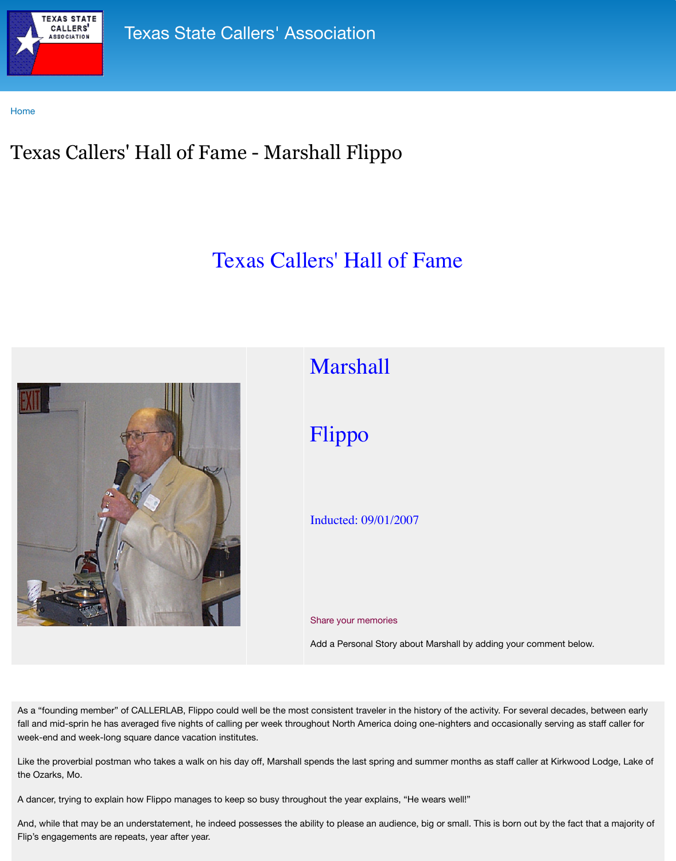

Add a Personal Story about M

As a "founding member" of CALLERLAB, Flippo could well be the most consistent traveler in the history fall and mid-sprin he has averaged five nights of calling per week throughout North America doing on week-end and week-long square dance vacation institutes.

Like the proverbial postman who takes a walk on his day off, Marshall spends the last spring and sum the Ozarks, Mo.

A dancer, trying to explain how Flippo manages to keep so busy throughout the year explains, "He we

And, while that may be an understatement, he indeed possesses the ability to please an audience, big Flip's engagements are repeats, year after year.